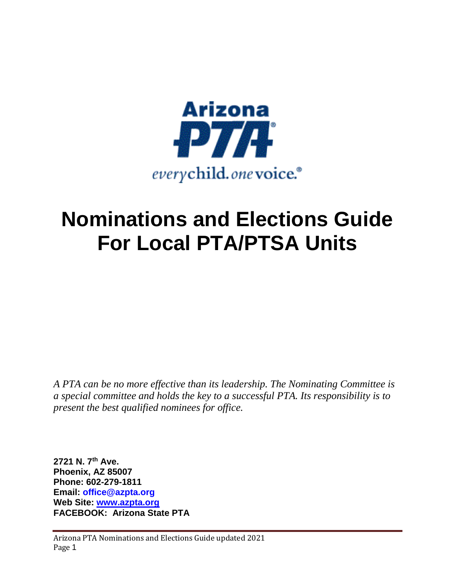

# **Nominations and Elections Guide For Local PTA/PTSA Units**

*A PTA can be no more effective than its leadership. The Nominating Committee is a special committee and holds the key to a successful PTA. Its responsibility is to present the best qualified nominees for office.*

**2721 N. 7th Ave. Phoenix, AZ 85007 Phone: 602-279-1811 Email: office@azpta.org Web Site: [www.azpta.org](http://www.azpta.org/) FACEBOOK: Arizona State PTA**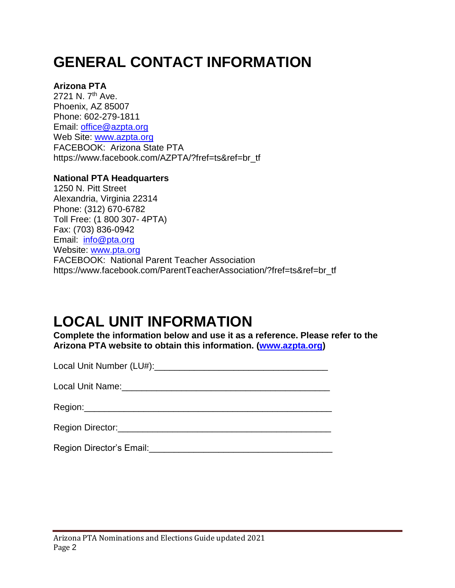# **GENERAL CONTACT INFORMATION**

#### **Arizona PTA**

2721 N. 7<sup>th</sup> Ave. Phoenix, AZ 85007 Phone: 602-279-1811 Email: office@azpta.org Web Site: [www.azpta.org](http://www.azpta.org/) FACEBOOK: Arizona State PTA https://www.facebook.com/AZPTA/?fref=ts&ref=br\_tf

#### **National PTA Headquarters**

1250 N. Pitt Street Alexandria, Virginia 22314 Phone: (312) 670-6782 Toll Free: (1 800 307- 4PTA) Fax: (703) 836-0942 Email: [info@pta.org](mailto:info@pta.org) Website: [www.pta.org](http://www.pta.org/)  FACEBOOK: National Parent Teacher Association https://www.facebook.com/ParentTeacherAssociation/?fref=ts&ref=br\_tf

# **LOCAL UNIT INFORMATION**

**Complete the information below and use it as a reference. Please refer to the Arizona PTA website to obtain this information. [\(www.azpta.org\)](http://www.azpta.org/)** 

| Local Unit Number (LU#): |  |
|--------------------------|--|
| Local Unit Name:         |  |
| Region:                  |  |

| Region Director: |  |  |
|------------------|--|--|
|                  |  |  |
|                  |  |  |

| <b>Region Director's Email:</b> |  |
|---------------------------------|--|
|---------------------------------|--|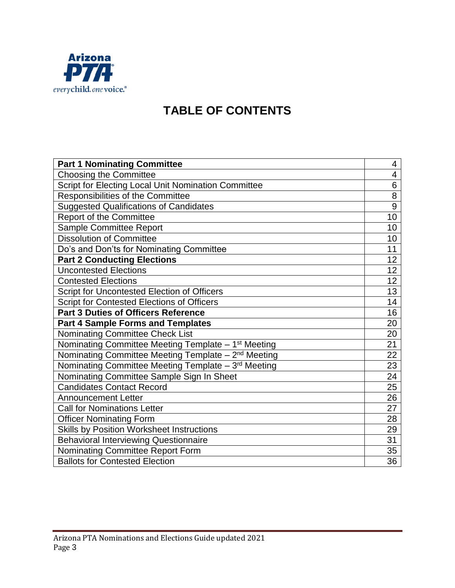

## **TABLE OF CONTENTS**

| <b>Part 1 Nominating Committee</b>                              | 4  |
|-----------------------------------------------------------------|----|
| <b>Choosing the Committee</b>                                   | 4  |
| Script for Electing Local Unit Nomination Committee             | 6  |
| Responsibilities of the Committee                               | 8  |
| <b>Suggested Qualifications of Candidates</b>                   | 9  |
| <b>Report of the Committee</b>                                  | 10 |
| Sample Committee Report                                         | 10 |
| <b>Dissolution of Committee</b>                                 | 10 |
| Do's and Don'ts for Nominating Committee                        | 11 |
| <b>Part 2 Conducting Elections</b>                              | 12 |
| <b>Uncontested Elections</b>                                    | 12 |
| <b>Contested Elections</b>                                      | 12 |
| Script for Uncontested Election of Officers                     | 13 |
| Script for Contested Elections of Officers                      | 14 |
| <b>Part 3 Duties of Officers Reference</b>                      | 16 |
| <b>Part 4 Sample Forms and Templates</b>                        | 20 |
| Nominating Committee Check List                                 | 20 |
| Nominating Committee Meeting Template - 1 <sup>st</sup> Meeting | 21 |
| Nominating Committee Meeting Template - 2 <sup>nd</sup> Meeting | 22 |
| Nominating Committee Meeting Template - 3rd Meeting             | 23 |
| Nominating Committee Sample Sign In Sheet                       | 24 |
| <b>Candidates Contact Record</b>                                | 25 |
| <b>Announcement Letter</b>                                      | 26 |
| <b>Call for Nominations Letter</b>                              | 27 |
| <b>Officer Nominating Form</b>                                  | 28 |
| Skills by Position Worksheet Instructions                       | 29 |
| <b>Behavioral Interviewing Questionnaire</b>                    | 31 |
| Nominating Committee Report Form                                | 35 |
| <b>Ballots for Contested Election</b>                           | 36 |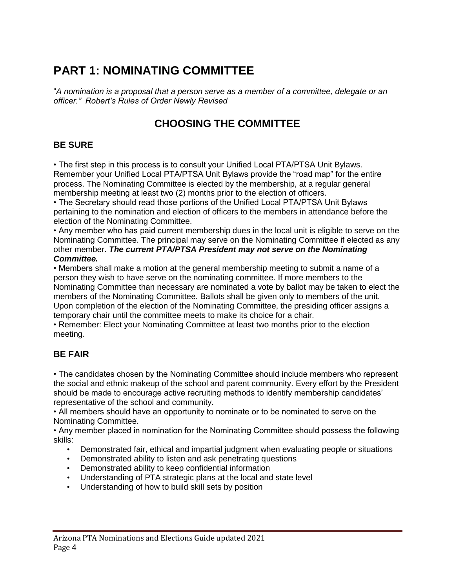## **PART 1: NOMINATING COMMITTEE**

"*A nomination is a proposal that a person serve as a member of a committee, delegate or an officer." Robert's Rules of Order Newly Revised*

## **CHOOSING THE COMMITTEE**

#### **BE SURE**

• The first step in this process is to consult your Unified Local PTA/PTSA Unit Bylaws. Remember your Unified Local PTA/PTSA Unit Bylaws provide the "road map" for the entire process. The Nominating Committee is elected by the membership, at a regular general membership meeting at least two (2) months prior to the election of officers.

• The Secretary should read those portions of the Unified Local PTA/PTSA Unit Bylaws pertaining to the nomination and election of officers to the members in attendance before the election of the Nominating Committee.

• Any member who has paid current membership dues in the local unit is eligible to serve on the Nominating Committee. The principal may serve on the Nominating Committee if elected as any other member. *The current PTA/PTSA President may not serve on the Nominating Committee.*

• Members shall make a motion at the general membership meeting to submit a name of a person they wish to have serve on the nominating committee. If more members to the Nominating Committee than necessary are nominated a vote by ballot may be taken to elect the members of the Nominating Committee. Ballots shall be given only to members of the unit. Upon completion of the election of the Nominating Committee, the presiding officer assigns a temporary chair until the committee meets to make its choice for a chair.

• Remember: Elect your Nominating Committee at least two months prior to the election meeting.

#### **BE FAIR**

• The candidates chosen by the Nominating Committee should include members who represent the social and ethnic makeup of the school and parent community. Every effort by the President should be made to encourage active recruiting methods to identify membership candidates' representative of the school and community.

• All members should have an opportunity to nominate or to be nominated to serve on the Nominating Committee.

• Any member placed in nomination for the Nominating Committee should possess the following skills:

- Demonstrated fair, ethical and impartial judgment when evaluating people or situations
- Demonstrated ability to listen and ask penetrating questions
- Demonstrated ability to keep confidential information
- Understanding of PTA strategic plans at the local and state level
- Understanding of how to build skill sets by position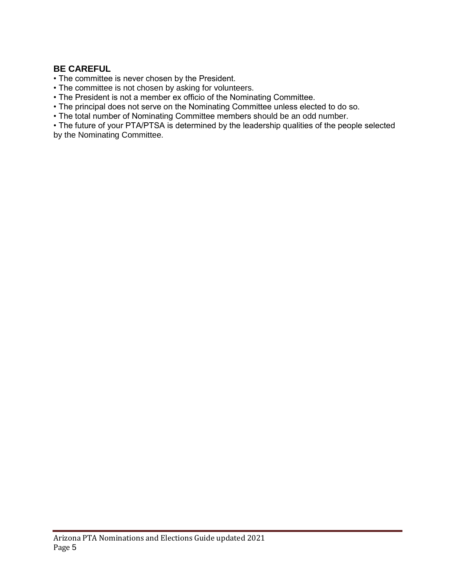#### **BE CAREFUL**

• The committee is never chosen by the President.

- The committee is not chosen by asking for volunteers.
- The President is not a member ex officio of the Nominating Committee.
- The principal does not serve on the Nominating Committee unless elected to do so.
- The total number of Nominating Committee members should be an odd number.

• The future of your PTA/PTSA is determined by the leadership qualities of the people selected by the Nominating Committee.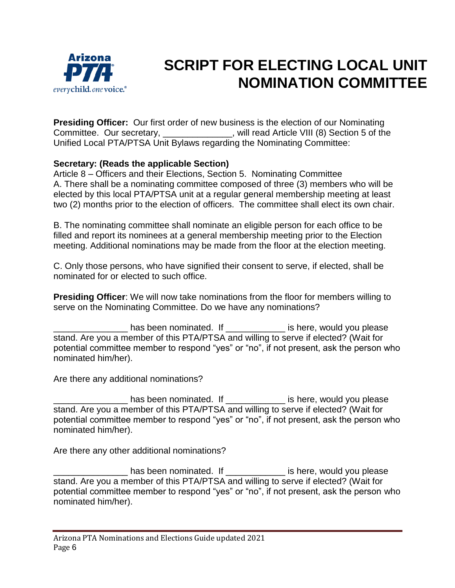

# **SCRIPT FOR ELECTING LOCAL UNIT NOMINATION COMMITTEE**

**Presiding Officer:** Our first order of new business is the election of our Nominating Committee.Our secretary, \_\_\_\_\_\_\_\_\_\_\_\_\_\_, will read Article VIII (8) Section 5 of the Unified Local PTA/PTSA Unit Bylaws regarding the Nominating Committee:

#### **Secretary: (Reads the applicable Section)**

Article 8 – Officers and their Elections, Section 5. Nominating Committee A. There shall be a nominating committee composed of three (3) members who will be elected by this local PTA/PTSA unit at a regular general membership meeting at least two (2) months prior to the election of officers. The committee shall elect its own chair.

B. The nominating committee shall nominate an eligible person for each office to be filled and report its nominees at a general membership meeting prior to the Election meeting. Additional nominations may be made from the floor at the election meeting.

C. Only those persons, who have signified their consent to serve, if elected, shall be nominated for or elected to such office.

**Presiding Officer:** We will now take nominations from the floor for members willing to serve on the Nominating Committee. Do we have any nominations?

has been nominated. If in the same is here, would you please stand. Are you a member of this PTA/PTSA and willing to serve if elected? (Wait for potential committee member to respond "yes" or "no", if not present, ask the person who nominated him/her).

Are there any additional nominations?

Loom has been nominated. If  $\frac{1}{2}$  is here, would you please stand. Are you a member of this PTA/PTSA and willing to serve if elected? (Wait for potential committee member to respond "yes" or "no", if not present, ask the person who nominated him/her).

Are there any other additional nominations?

Loom has been nominated. If  $\frac{1}{2}$  is here, would you please stand. Are you a member of this PTA/PTSA and willing to serve if elected? (Wait for potential committee member to respond "yes" or "no", if not present, ask the person who nominated him/her).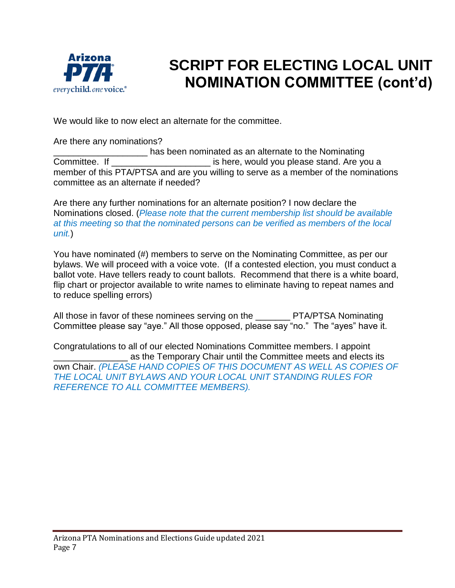

# **SCRIPT FOR ELECTING LOCAL UNIT NOMINATION COMMITTEE (cont'd)**

We would like to now elect an alternate for the committee.

Are there any nominations?

has been nominated as an alternate to the Nominating Committee. If \_\_\_\_\_\_\_\_\_\_\_\_\_\_\_\_\_\_\_\_\_\_\_\_\_\_\_ is here, would you please stand. Are you a member of this PTA/PTSA and are you willing to serve as a member of the nominations committee as an alternate if needed?

Are there any further nominations for an alternate position? I now declare the Nominations closed. (*Please note that the current membership list should be available at this meeting so that the nominated persons can be verified as members of the local unit.*)

You have nominated (#) members to serve on the Nominating Committee, as per our bylaws. We will proceed with a voice vote. (If a contested election, you must conduct a ballot vote. Have tellers ready to count ballots. Recommend that there is a white board, flip chart or projector available to write names to eliminate having to repeat names and to reduce spelling errors)

All those in favor of these nominees serving on the **PTA/PTSA Nominating** Committee please say "aye." All those opposed, please say "no." The "ayes" have it.

Congratulations to all of our elected Nominations Committee members. I appoint as the Temporary Chair until the Committee meets and elects its own Chair. *(PLEASE HAND COPIES OF THIS DOCUMENT AS WELL AS COPIES OF THE LOCAL UNIT BYLAWS AND YOUR LOCAL UNIT STANDING RULES FOR REFERENCE TO ALL COMMITTEE MEMBERS).*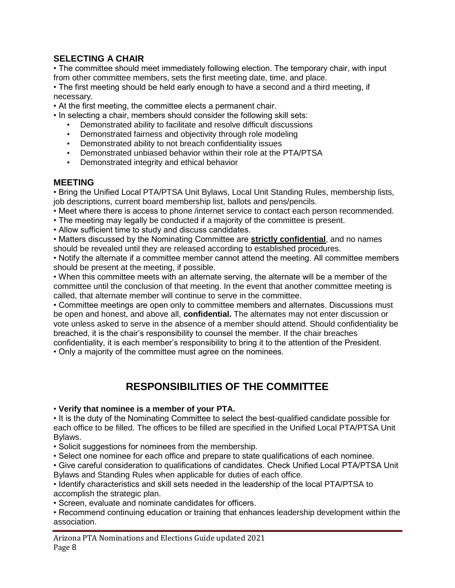#### **SELECTING A CHAIR**

• The committee should meet immediately following election. The temporary chair, with input from other committee members, sets the first meeting date, time, and place.

• The first meeting should be held early enough to have a second and a third meeting, if necessary.

• At the first meeting, the committee elects a permanent chair.

- In selecting a chair, members should consider the following skill sets:
	- Demonstrated ability to facilitate and resolve difficult discussions
	- Demonstrated fairness and objectivity through role modeling
	- Demonstrated ability to not breach confidentiality issues
	- Demonstrated unbiased behavior within their role at the PTA/PTSA
	- Demonstrated integrity and ethical behavior

#### **MEETING**

• Bring the Unified Local PTA/PTSA Unit Bylaws, Local Unit Standing Rules, membership lists, job descriptions, current board membership list, ballots and pens/pencils.

• Meet where there is access to phone /internet service to contact each person recommended.

- The meeting may legally be conducted if a majority of the committee is present.
- Allow sufficient time to study and discuss candidates.

• Matters discussed by the Nominating Committee are **strictly confidential**, and no names should be revealed until they are released according to established procedures.

• Notify the alternate if a committee member cannot attend the meeting. All committee members should be present at the meeting, if possible.

• When this committee meets with an alternate serving, the alternate will be a member of the committee until the conclusion of that meeting. In the event that another committee meeting is called, that alternate member will continue to serve in the committee.

• Committee meetings are open only to committee members and alternates. Discussions must be open and honest, and above all, **confidential.** The alternates may not enter discussion or vote unless asked to serve in the absence of a member should attend. Should confidentiality be breached, it is the chair's responsibility to counsel the member. If the chair breaches confidentiality, it is each member's responsibility to bring it to the attention of the President.

• Only a majority of the committee must agree on the nominees.

## **RESPONSIBILITIES OF THE COMMITTEE**

#### • **Verify that nominee is a member of your PTA.**

• It is the duty of the Nominating Committee to select the best-qualified candidate possible for each office to be filled. The offices to be filled are specified in the Unified Local PTA/PTSA Unit Bylaws.

• Solicit suggestions for nominees from the membership.

• Select one nominee for each office and prepare to state qualifications of each nominee.

• Give careful consideration to qualifications of candidates. Check Unified Local PTA/PTSA Unit Bylaws and Standing Rules when applicable for duties of each office.

• Identify characteristics and skill sets needed in the leadership of the local PTA/PTSA to accomplish the strategic plan.

• Screen, evaluate and nominate candidates for officers.

• Recommend continuing education or training that enhances leadership development within the association.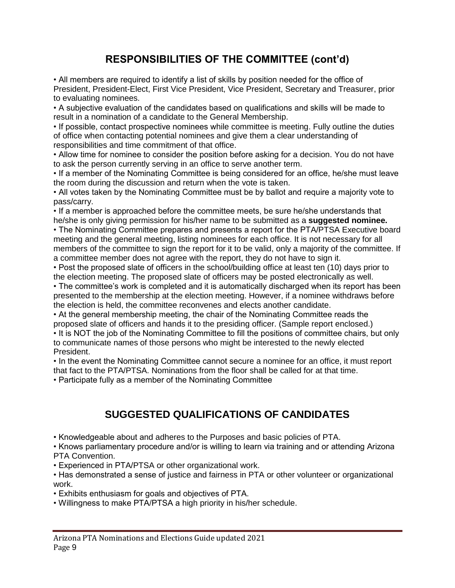## **RESPONSIBILITIES OF THE COMMITTEE (cont'd)**

• All members are required to identify a list of skills by position needed for the office of President, President-Elect, First Vice President, Vice President, Secretary and Treasurer, prior to evaluating nominees.

• A subjective evaluation of the candidates based on qualifications and skills will be made to result in a nomination of a candidate to the General Membership.

• If possible, contact prospective nominees while committee is meeting. Fully outline the duties of office when contacting potential nominees and give them a clear understanding of responsibilities and time commitment of that office.

• Allow time for nominee to consider the position before asking for a decision. You do not have to ask the person currently serving in an office to serve another term.

• If a member of the Nominating Committee is being considered for an office, he/she must leave the room during the discussion and return when the vote is taken.

• All votes taken by the Nominating Committee must be by ballot and require a majority vote to pass/carry.

• If a member is approached before the committee meets, be sure he/she understands that he/she is only giving permission for his/her name to be submitted as a **suggested nominee.**

• The Nominating Committee prepares and presents a report for the PTA/PTSA Executive board meeting and the general meeting, listing nominees for each office. It is not necessary for all members of the committee to sign the report for it to be valid, only a majority of the committee. If a committee member does not agree with the report, they do not have to sign it.

• Post the proposed slate of officers in the school/building office at least ten (10) days prior to the election meeting. The proposed slate of officers may be posted electronically as well.

• The committee's work is completed and it is automatically discharged when its report has been presented to the membership at the election meeting. However, if a nominee withdraws before the election is held, the committee reconvenes and elects another candidate.

• At the general membership meeting, the chair of the Nominating Committee reads the proposed slate of officers and hands it to the presiding officer. (Sample report enclosed.)

• It is NOT the job of the Nominating Committee to fill the positions of committee chairs, but only to communicate names of those persons who might be interested to the newly elected President.

• In the event the Nominating Committee cannot secure a nominee for an office, it must report that fact to the PTA/PTSA. Nominations from the floor shall be called for at that time.

• Participate fully as a member of the Nominating Committee

## **SUGGESTED QUALIFICATIONS OF CANDIDATES**

• Knowledgeable about and adheres to the Purposes and basic policies of PTA.

• Knows parliamentary procedure and/or is willing to learn via training and or attending Arizona PTA Convention.

• Experienced in PTA/PTSA or other organizational work.

• Has demonstrated a sense of justice and fairness in PTA or other volunteer or organizational work.

• Exhibits enthusiasm for goals and objectives of PTA.

• Willingness to make PTA/PTSA a high priority in his/her schedule.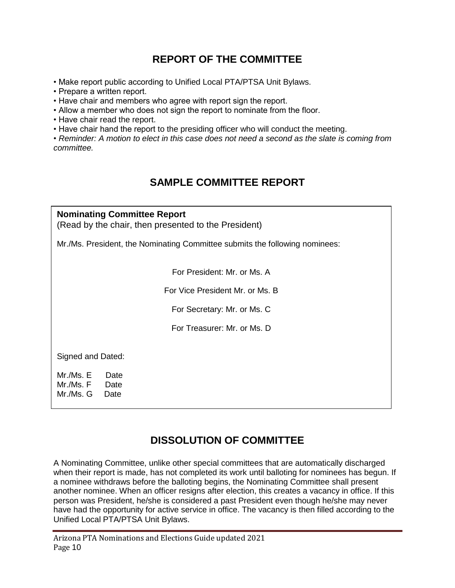## **REPORT OF THE COMMITTEE**

- Make report public according to Unified Local PTA/PTSA Unit Bylaws.
- Prepare a written report.
- Have chair and members who agree with report sign the report.
- Allow a member who does not sign the report to nominate from the floor.
- Have chair read the report.
- Have chair hand the report to the presiding officer who will conduct the meeting.

• *Reminder: A motion to elect in this case does not need a second as the slate is coming from committee.*

## **SAMPLE COMMITTEE REPORT**

**Nominating Committee Report** (Read by the chair, then presented to the President)

Mr./Ms. President, the Nominating Committee submits the following nominees:

For President: Mr. or Ms. A

For Vice President Mr. or Ms. B

For Secretary: Mr. or Ms. C

For Treasurer: Mr. or Ms. D

Signed and Dated:

Mr./Ms. E Date Mr./Ms. F Date Mr./Ms. G Date

## **DISSOLUTION OF COMMITTEE**

A Nominating Committee, unlike other special committees that are automatically discharged when their report is made, has not completed its work until balloting for nominees has begun. If a nominee withdraws before the balloting begins, the Nominating Committee shall present another nominee. When an officer resigns after election, this creates a vacancy in office. If this person was President, he/she is considered a past President even though he/she may never have had the opportunity for active service in office. The vacancy is then filled according to the Unified Local PTA/PTSA Unit Bylaws.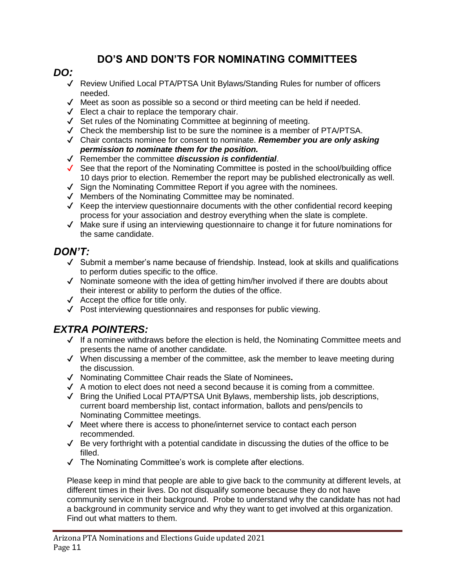## **DO'S AND DON'TS FOR NOMINATING COMMITTEES**

## *DO:*

- ✔ Review Unified Local PTA/PTSA Unit Bylaws/Standing Rules for number of officers needed.
- ✔ Meet as soon as possible so a second or third meeting can be held if needed.
- $\checkmark$  Elect a chair to replace the temporary chair.
- ✔ Set rules of the Nominating Committee at beginning of meeting.
- ✔ Check the membership list to be sure the nominee is a member of PTA/PTSA.
- ✔ Chair contacts nominee for consent to nominate. *Remember you are only asking permission to nominate them for the position.*
- ✔ Remember the committee *discussion is confidential*.
- ✔ See that the report of the Nominating Committee is posted in the school/building office 10 days prior to election. Remember the report may be published electronically as well.
- ✔ Sign the Nominating Committee Report if you agree with the nominees.
- ✔ Members of the Nominating Committee may be nominated.
- $\checkmark$  Keep the interview questionnaire documents with the other confidential record keeping process for your association and destroy everything when the slate is complete.
- ✔ Make sure if using an interviewing questionnaire to change it for future nominations for the same candidate.

## *DON'T:*

- ✔ Submit a member's name because of friendship. Instead, look at skills and qualifications to perform duties specific to the office.
- $\checkmark$  Nominate someone with the idea of getting him/her involved if there are doubts about their interest or ability to perform the duties of the office.
- $\checkmark$  Accept the office for title only.
- ✔ Post interviewing questionnaires and responses for public viewing.

## *EXTRA POINTERS:*

- $\checkmark$  If a nominee withdraws before the election is held, the Nominating Committee meets and presents the name of another candidate.
- ✔ When discussing a member of the committee, ask the member to leave meeting during the discussion.
- ✔ Nominating Committee Chair reads the Slate of Nominees**.**
- $\checkmark$  A motion to elect does not need a second because it is coming from a committee.
- ✔ Bring the Unified Local PTA/PTSA Unit Bylaws, membership lists, job descriptions, current board membership list, contact information, ballots and pens/pencils to Nominating Committee meetings.
- ✔ Meet where there is access to phone/internet service to contact each person recommended.
- $\checkmark$  Be very forthright with a potential candidate in discussing the duties of the office to be filled.
- ✔ The Nominating Committee's work is complete after elections.

Please keep in mind that people are able to give back to the community at different levels, at different times in their lives. Do not disqualify someone because they do not have community service in their background. Probe to understand why the candidate has not had a background in community service and why they want to get involved at this organization. Find out what matters to them.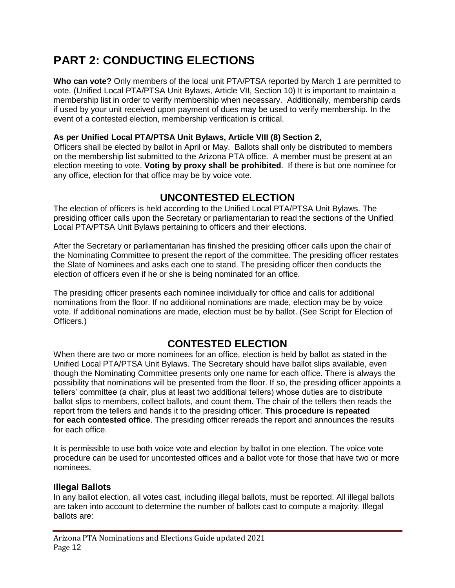## **PART 2: CONDUCTING ELECTIONS**

**Who can vote?** Only members of the local unit PTA/PTSA reported by March 1 are permitted to vote. (Unified Local PTA/PTSA Unit Bylaws, Article VII, Section 10) It is important to maintain a membership list in order to verify membership when necessary. Additionally, membership cards if used by your unit received upon payment of dues may be used to verify membership. In the event of a contested election, membership verification is critical.

#### **As per Unified Local PTA/PTSA Unit Bylaws, Article VIII (8) Section 2,**

Officers shall be elected by ballot in April or May. Ballots shall only be distributed to members on the membership list submitted to the Arizona PTA office. A member must be present at an election meeting to vote. **Voting by proxy shall be prohibited**. If there is but one nominee for any office, election for that office may be by voice vote.

#### **UNCONTESTED ELECTION**

The election of officers is held according to the Unified Local PTA/PTSA Unit Bylaws. The presiding officer calls upon the Secretary or parliamentarian to read the sections of the Unified Local PTA/PTSA Unit Bylaws pertaining to officers and their elections.

After the Secretary or parliamentarian has finished the presiding officer calls upon the chair of the Nominating Committee to present the report of the committee. The presiding officer restates the Slate of Nominees and asks each one to stand. The presiding officer then conducts the election of officers even if he or she is being nominated for an office.

The presiding officer presents each nominee individually for office and calls for additional nominations from the floor. If no additional nominations are made, election may be by voice vote. If additional nominations are made, election must be by ballot. (See Script for Election of Officers.)

## **CONTESTED ELECTION**

When there are two or more nominees for an office, election is held by ballot as stated in the Unified Local PTA/PTSA Unit Bylaws. The Secretary should have ballot slips available, even though the Nominating Committee presents only one name for each office. There is always the possibility that nominations will be presented from the floor. If so, the presiding officer appoints a tellers' committee (a chair, plus at least two additional tellers) whose duties are to distribute ballot slips to members, collect ballots, and count them. The chair of the tellers then reads the report from the tellers and hands it to the presiding officer. **This procedure is repeated for each contested office**. The presiding officer rereads the report and announces the results for each office.

It is permissible to use both voice vote and election by ballot in one election. The voice vote procedure can be used for uncontested offices and a ballot vote for those that have two or more nominees.

#### **Illegal Ballots**

In any ballot election, all votes cast, including illegal ballots, must be reported. All illegal ballots are taken into account to determine the number of ballots cast to compute a majority. Illegal ballots are: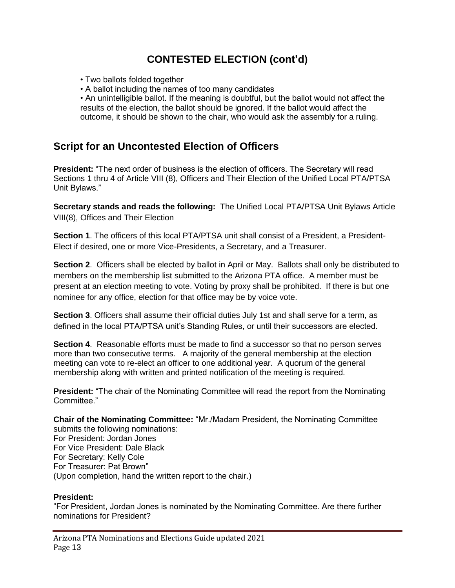## **CONTESTED ELECTION (cont'd)**

- Two ballots folded together
- A ballot including the names of too many candidates

• An unintelligible ballot. If the meaning is doubtful, but the ballot would not affect the results of the election, the ballot should be ignored. If the ballot would affect the outcome, it should be shown to the chair, who would ask the assembly for a ruling.

#### **Script for an Uncontested Election of Officers**

**President:** "The next order of business is the election of officers. The Secretary will read Sections 1 thru 4 of Article VIII (8), Officers and Their Election of the Unified Local PTA/PTSA Unit Bylaws."

**Secretary stands and reads the following:** The Unified Local PTA/PTSA Unit Bylaws Article VIII(8), Offices and Their Election

**Section 1**. The officers of this local PTA/PTSA unit shall consist of a President, a President-Elect if desired, one or more Vice-Presidents, a Secretary, and a Treasurer.

**Section 2**. Officers shall be elected by ballot in April or May. Ballots shall only be distributed to members on the membership list submitted to the Arizona PTA office. A member must be present at an election meeting to vote. Voting by proxy shall be prohibited. If there is but one nominee for any office, election for that office may be by voice vote.

**Section 3**. Officers shall assume their official duties July 1st and shall serve for a term, as defined in the local PTA/PTSA unit's Standing Rules, or until their successors are elected.

**Section 4**. Reasonable efforts must be made to find a successor so that no person serves more than two consecutive terms. A majority of the general membership at the election meeting can vote to re-elect an officer to one additional year. A quorum of the general membership along with written and printed notification of the meeting is required.

**President:** "The chair of the Nominating Committee will read the report from the Nominating Committee."

**Chair of the Nominating Committee:** "Mr./Madam President, the Nominating Committee submits the following nominations: For President: Jordan Jones For Vice President: Dale Black For Secretary: Kelly Cole For Treasurer: Pat Brown" (Upon completion, hand the written report to the chair.)

#### **President:**

"For President, Jordan Jones is nominated by the Nominating Committee. Are there further nominations for President?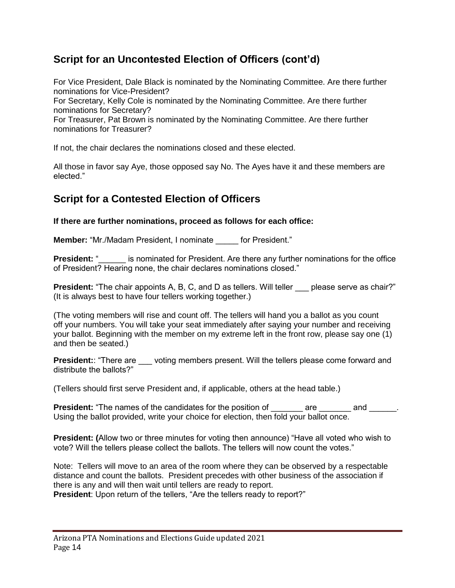## **Script for an Uncontested Election of Officers (cont'd)**

For Vice President, Dale Black is nominated by the Nominating Committee. Are there further nominations for Vice-President?

For Secretary, Kelly Cole is nominated by the Nominating Committee. Are there further nominations for Secretary?

For Treasurer, Pat Brown is nominated by the Nominating Committee. Are there further nominations for Treasurer?

If not, the chair declares the nominations closed and these elected.

All those in favor say Aye, those opposed say No. The Ayes have it and these members are elected."

## **Script for a Contested Election of Officers**

**If there are further nominations, proceed as follows for each office:**

**Member:** "Mr./Madam President, I nominate for President."

**President:** "  $\blacksquare$  is nominated for President. Are there any further nominations for the office of President? Hearing none, the chair declares nominations closed."

**President:** "The chair appoints A, B, C, and D as tellers. Will teller please serve as chair?" (It is always best to have four tellers working together.)

(The voting members will rise and count off. The tellers will hand you a ballot as you count off your numbers. You will take your seat immediately after saying your number and receiving your ballot. Beginning with the member on my extreme left in the front row, please say one (1) and then be seated.)

**President:: "There are voting members present. Will the tellers please come forward and** distribute the ballots?"

(Tellers should first serve President and, if applicable, others at the head table.)

**President:** "The names of the candidates for the position of \_\_\_\_\_\_\_ are \_\_\_\_\_\_\_ and \_\_\_\_\_\_. Using the ballot provided, write your choice for election, then fold your ballot once.

**President: (**Allow two or three minutes for voting then announce) "Have all voted who wish to vote? Will the tellers please collect the ballots. The tellers will now count the votes."

Note: Tellers will move to an area of the room where they can be observed by a respectable distance and count the ballots. President precedes with other business of the association if there is any and will then wait until tellers are ready to report. **President**: Upon return of the tellers, "Are the tellers ready to report?"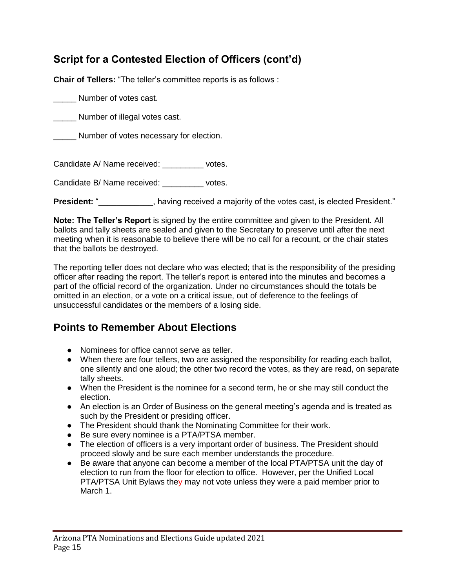## **Script for a Contested Election of Officers (cont'd)**

**Chair of Tellers:** "The teller's committee reports is as follows :

\_\_\_\_\_ Number of votes cast.

Number of illegal votes cast.

Number of votes necessary for election.

Candidate A/ Name received: \_\_\_\_\_\_\_\_\_ votes.

Candidate B/ Name received: \_\_\_\_\_\_\_\_\_ votes.

**President:** " \_\_\_\_\_\_\_\_, having received a majority of the votes cast, is elected President."

**Note: The Teller's Report** is signed by the entire committee and given to the President. All ballots and tally sheets are sealed and given to the Secretary to preserve until after the next meeting when it is reasonable to believe there will be no call for a recount, or the chair states that the ballots be destroyed.

The reporting teller does not declare who was elected; that is the responsibility of the presiding officer after reading the report. The teller's report is entered into the minutes and becomes a part of the official record of the organization. Under no circumstances should the totals be omitted in an election, or a vote on a critical issue, out of deference to the feelings of unsuccessful candidates or the members of a losing side.

## **Points to Remember About Elections**

- Nominees for office cannot serve as teller.
- When there are four tellers, two are assigned the responsibility for reading each ballot, one silently and one aloud; the other two record the votes, as they are read, on separate tally sheets.
- When the President is the nominee for a second term, he or she may still conduct the election.
- An election is an Order of Business on the general meeting's agenda and is treated as such by the President or presiding officer.
- The President should thank the Nominating Committee for their work.
- Be sure every nominee is a PTA/PTSA member.
- The election of officers is a very important order of business. The President should proceed slowly and be sure each member understands the procedure.
- Be aware that anyone can become a member of the local PTA/PTSA unit the day of election to run from the floor for election to office. However, per the Unified Local PTA/PTSA Unit Bylaws they may not vote unless they were a paid member prior to March 1.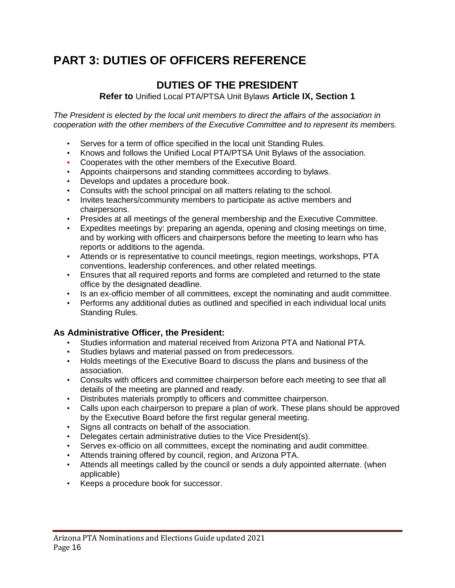## **PART 3: DUTIES OF OFFICERS REFERENCE**

## **DUTIES OF THE PRESIDENT**

**Refer to** Unified Local PTA/PTSA Unit Bylaws **Article IX, Section 1**

*The President is elected by the local unit members to direct the affairs of the association in cooperation with the other members of the Executive Committee and to represent its members.*

- Serves for a term of office specified in the local unit Standing Rules.
- Knows and follows the Unified Local PTA/PTSA Unit Bylaws of the association.
- Cooperates with the other members of the Executive Board.
- Appoints chairpersons and standing committees according to bylaws.
- Develops and updates a procedure book.
- Consults with the school principal on all matters relating to the school.
- Invites teachers/community members to participate as active members and chairpersons.
- Presides at all meetings of the general membership and the Executive Committee.
- Expedites meetings by: preparing an agenda, opening and closing meetings on time, and by working with officers and chairpersons before the meeting to learn who has reports or additions to the agenda.
- Attends or is representative to council meetings, region meetings, workshops, PTA conventions, leadership conferences, and other related meetings.
- Ensures that all required reports and forms are completed and returned to the state office by the designated deadline.
- Is an ex-officio member of all committees, except the nominating and audit committee.
- Performs any additional duties as outlined and specified in each individual local units Standing Rules.

#### **As Administrative Officer, the President:**

- Studies information and material received from Arizona PTA and National PTA.
- Studies bylaws and material passed on from predecessors.
- Holds meetings of the Executive Board to discuss the plans and business of the association.
- Consults with officers and committee chairperson before each meeting to see that all details of the meeting are planned and ready.
- Distributes materials promptly to officers and committee chairperson.
- Calls upon each chairperson to prepare a plan of work. These plans should be approved by the Executive Board before the first regular general meeting.
- Signs all contracts on behalf of the association.
- Delegates certain administrative duties to the Vice President(s).
- Serves ex-officio on all committees, except the nominating and audit committee.
- Attends training offered by council, region, and Arizona PTA.
- Attends all meetings called by the council or sends a duly appointed alternate. (when applicable)
- Keeps a procedure book for successor.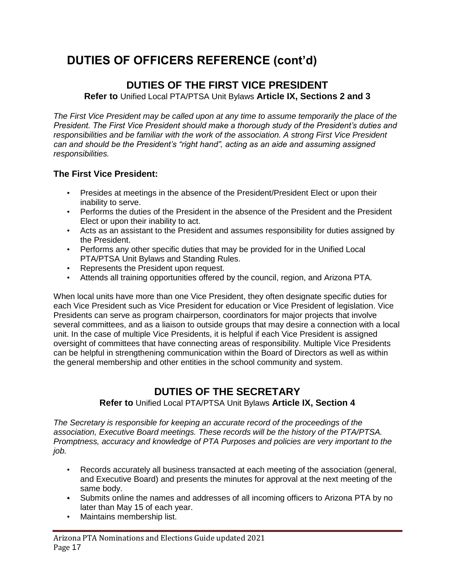## **DUTIES OF OFFICERS REFERENCE (cont'd)**

## **DUTIES OF THE FIRST VICE PRESIDENT**

**Refer to** Unified Local PTA/PTSA Unit Bylaws **Article IX, Sections 2 and 3**

*The First Vice President may be called upon at any time to assume temporarily the place of the President. The First Vice President should make a thorough study of the President's duties and responsibilities and be familiar with the work of the association. A strong First Vice President can and should be the President's "right hand", acting as an aide and assuming assigned responsibilities.*

#### **The First Vice President:**

- Presides at meetings in the absence of the President/President Elect or upon their inability to serve.
- Performs the duties of the President in the absence of the President and the President Elect or upon their inability to act.
- Acts as an assistant to the President and assumes responsibility for duties assigned by the President.
- Performs any other specific duties that may be provided for in the Unified Local PTA/PTSA Unit Bylaws and Standing Rules.
- Represents the President upon request.
- Attends all training opportunities offered by the council, region, and Arizona PTA.

When local units have more than one Vice President, they often designate specific duties for each Vice President such as Vice President for education or Vice President of legislation. Vice Presidents can serve as program chairperson, coordinators for major projects that involve several committees, and as a liaison to outside groups that may desire a connection with a local unit. In the case of multiple Vice Presidents, it is helpful if each Vice President is assigned oversight of committees that have connecting areas of responsibility. Multiple Vice Presidents can be helpful in strengthening communication within the Board of Directors as well as within the general membership and other entities in the school community and system.

## **DUTIES OF THE SECRETARY**

**Refer to** Unified Local PTA/PTSA Unit Bylaws **Article IX, Section 4** 

*The Secretary is responsible for keeping an accurate record of the proceedings of the association, Executive Board meetings. These records will be the history of the PTA/PTSA. Promptness, accuracy and knowledge of PTA Purposes and policies are very important to the job.*

- Records accurately all business transacted at each meeting of the association (general, and Executive Board) and presents the minutes for approval at the next meeting of the same body.
- Submits online the names and addresses of all incoming officers to Arizona PTA by no later than May 15 of each year.
- Maintains membership list.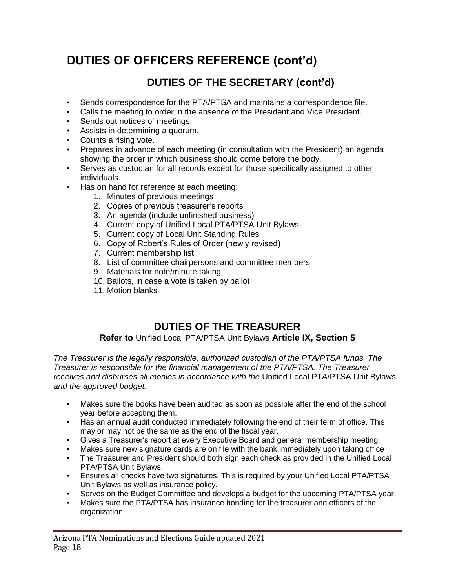## **DUTIES OF OFFICERS REFERENCE (cont'd)**

## **DUTIES OF THE SECRETARY (cont'd)**

- Sends correspondence for the PTA/PTSA and maintains a correspondence file.
- Calls the meeting to order in the absence of the President and Vice President.
- Sends out notices of meetings.
- Assists in determining a quorum.
- Counts a rising vote.
- Prepares in advance of each meeting (in consultation with the President) an agenda showing the order in which business should come before the body.
- Serves as custodian for all records except for those specifically assigned to other individuals.
- Has on hand for reference at each meeting:
	- 1. Minutes of previous meetings
	- 2. Copies of previous treasurer's reports
	- 3. An agenda (include unfinished business)
	- 4. Current copy of Unified Local PTA/PTSA Unit Bylaws
	- 5. Current copy of Local Unit Standing Rules
	- 6. Copy of Robert's Rules of Order (newly revised)
	- 7. Current membership list
	- 8. List of committee chairpersons and committee members
	- 9. Materials for note/minute taking
	- 10. Ballots, in case a vote is taken by ballot
	- 11. Motion blanks

## **DUTIES OF THE TREASURER**

#### **Refer to** Unified Local PTA/PTSA Unit Bylaws **Article IX, Section 5**

*The Treasurer is the legally responsible, authorized custodian of the PTA/PTSA funds. The Treasurer is responsible for the financial management of the PTA/PTSA. The Treasurer*  receives and disburses all monies in accordance with the Unified Local PTA/PTSA Unit Bylaws *and the approved budget.*

- Makes sure the books have been audited as soon as possible after the end of the school year before accepting them.
- Has an annual audit conducted immediately following the end of their term of office. This may or may not be the same as the end of the fiscal year.
- Gives a Treasurer's report at every Executive Board and general membership meeting.
- Makes sure new signature cards are on file with the bank immediately upon taking office
- The Treasurer and President should both sign each check as provided in the Unified Local PTA/PTSA Unit Bylaws.
- Ensures all checks have two signatures. This is required by your Unified Local PTA/PTSA Unit Bylaws as well as insurance policy.
- Serves on the Budget Committee and develops a budget for the upcoming PTA/PTSA year.
- Makes sure the PTA/PTSA has insurance bonding for the treasurer and officers of the organization.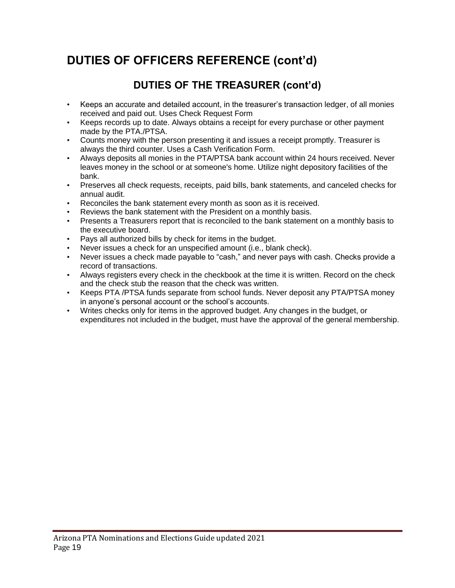## **DUTIES OF OFFICERS REFERENCE (cont'd)**

## **DUTIES OF THE TREASURER (cont'd)**

- Keeps an accurate and detailed account, in the treasurer's transaction ledger, of all monies received and paid out. Uses Check Request Form
- Keeps records up to date. Always obtains a receipt for every purchase or other payment made by the PTA./PTSA.
- Counts money with the person presenting it and issues a receipt promptly. Treasurer is always the third counter. Uses a Cash Verification Form.
- Always deposits all monies in the PTA/PTSA bank account within 24 hours received. Never leaves money in the school or at someone's home. Utilize night depository facilities of the bank.
- Preserves all check requests, receipts, paid bills, bank statements, and canceled checks for annual audit.
- Reconciles the bank statement every month as soon as it is received.
- Reviews the bank statement with the President on a monthly basis.
- Presents a Treasurers report that is reconciled to the bank statement on a monthly basis to the executive board.
- Pays all authorized bills by check for items in the budget.
- Never issues a check for an unspecified amount (i.e., blank check).
- Never issues a check made payable to "cash," and never pays with cash. Checks provide a record of transactions.
- Always registers every check in the checkbook at the time it is written. Record on the check and the check stub the reason that the check was written.
- Keeps PTA /PTSA funds separate from school funds. Never deposit any PTA/PTSA money in anyone's personal account or the school's accounts.
- Writes checks only for items in the approved budget. Any changes in the budget, or expenditures not included in the budget, must have the approval of the general membership.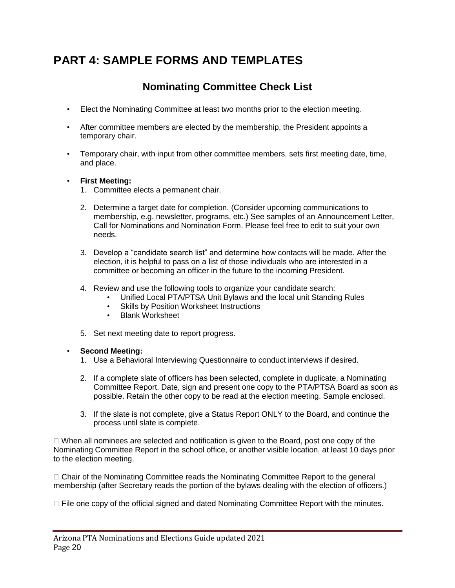## **PART 4: SAMPLE FORMS AND TEMPLATES**

## **Nominating Committee Check List**

- Elect the Nominating Committee at least two months prior to the election meeting.
- After committee members are elected by the membership, the President appoints a temporary chair.
- Temporary chair, with input from other committee members, sets first meeting date, time, and place.

#### • **First Meeting:**

- 1. Committee elects a permanent chair.
- 2. Determine a target date for completion. (Consider upcoming communications to membership, e.g. newsletter, programs, etc.) See samples of an Announcement Letter, Call for Nominations and Nomination Form. Please feel free to edit to suit your own needs.
- 3. Develop a "candidate search list" and determine how contacts will be made. After the election, it is helpful to pass on a list of those individuals who are interested in a committee or becoming an officer in the future to the incoming President.
- 4. Review and use the following tools to organize your candidate search:
	- Unified Local PTA/PTSA Unit Bylaws and the local unit Standing Rules
	- Skills by Position Worksheet Instructions
	- Blank Worksheet
- 5. Set next meeting date to report progress.

#### • **Second Meeting:**

- 1. Use a Behavioral Interviewing Questionnaire to conduct interviews if desired.
- 2. If a complete slate of officers has been selected, complete in duplicate, a Nominating Committee Report. Date, sign and present one copy to the PTA/PTSA Board as soon as possible. Retain the other copy to be read at the election meeting. Sample enclosed.
- 3. If the slate is not complete, give a Status Report ONLY to the Board, and continue the process until slate is complete.

 When all nominees are selected and notification is given to the Board, post one copy of the Nominating Committee Report in the school office, or another visible location, at least 10 days prior to the election meeting.

 $\Box$  Chair of the Nominating Committee reads the Nominating Committee Report to the general membership (after Secretary reads the portion of the bylaws dealing with the election of officers.)

 $\Box$  File one copy of the official signed and dated Nominating Committee Report with the minutes.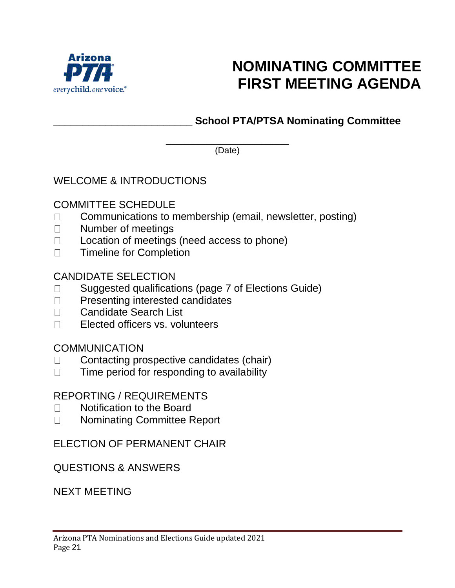

# **NOMINATING COMMITTEE FIRST MEETING AGENDA**

## **\_\_\_\_\_\_\_\_\_\_\_\_\_\_\_\_\_\_\_\_\_\_\_\_ School PTA/PTSA Nominating Committee**

\_\_\_\_\_\_\_\_\_\_\_\_\_\_\_\_\_\_\_\_\_\_\_\_\_\_\_ (Date)

## WELCOME & INTRODUCTIONS

## COMMITTEE SCHEDULE

- Communications to membership (email, newsletter, posting)  $\Box$
- Number of meetings  $\Box$
- Location of meetings (need access to phone)  $\Box$
- Timeline for Completion  $\Box$

#### CANDIDATE SELECTION

- Suggested qualifications (page 7 of Elections Guide)  $\Box$
- Presenting interested candidates  $\Box$
- Candidate Search List  $\Box$
- $\Box$ Elected officers vs. volunteers

## **COMMUNICATION**

- Contacting prospective candidates (chair)  $\Box$
- $\Box$ Time period for responding to availability

## REPORTING / REQUIREMENTS

- Notification to the Board  $\Box$
- Nominating Committee Report  $\Box$

ELECTION OF PERMANENT CHAIR

## QUESTIONS & ANSWERS

NEXT MEETING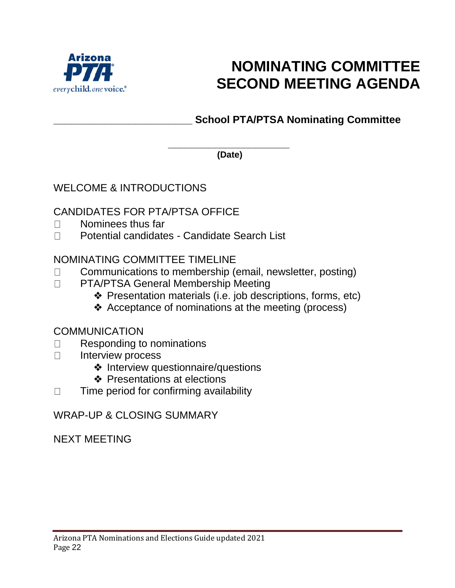

# **NOMINATING COMMITTEE SECOND MEETING AGENDA**

**\_\_\_\_\_\_\_\_\_\_\_\_\_\_\_\_\_\_\_\_\_\_\_\_ School PTA/PTSA Nominating Committee**

**\_\_\_\_\_\_\_\_\_\_\_\_\_\_\_\_\_\_\_\_\_ (Date)**

## WELCOME & INTRODUCTIONS

## CANDIDATES FOR PTA/PTSA OFFICE

- Nominees thus far  $\Box$
- Potential candidates Candidate Search List  $\Box$

## NOMINATING COMMITTEE TIMELINE

- Communications to membership (email, newsletter, posting)  $\Box$
- PTA/PTSA General Membership Meeting  $\Box$ 
	- ❖ Presentation materials (i.e. job descriptions, forms, etc)
	- ❖ Acceptance of nominations at the meeting (process)

#### **COMMUNICATION**

- Responding to nominations  $\Box$
- Interview process  $\Box$ 
	- ❖ Interview questionnaire/questions
	- ❖ Presentations at elections
- Time period for confirming availability  $\Box$

WRAP-UP & CLOSING SUMMARY

NEXT MEETING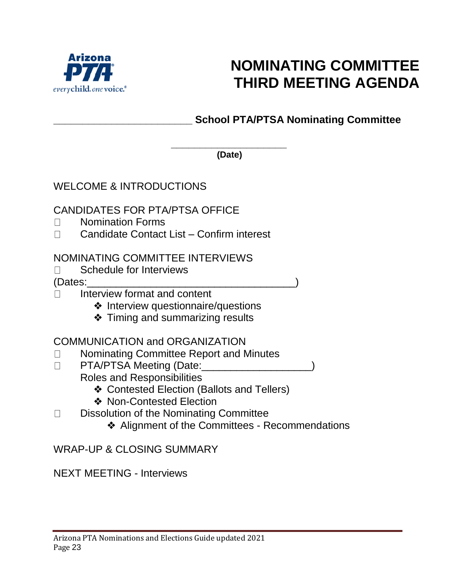

# **NOMINATING COMMITTEE THIRD MEETING AGENDA**

## **\_\_\_\_\_\_\_\_\_\_\_\_\_\_\_\_\_\_\_\_\_\_\_\_ School PTA/PTSA Nominating Committee**

**\_\_\_\_\_\_\_\_\_\_\_\_\_\_\_\_\_\_\_\_ (Date)**

#### WELCOME & INTRODUCTIONS

#### CANDIDATES FOR PTA/PTSA OFFICE

- Nomination Forms  $\Box$
- $\Box$ Candidate Contact List – Confirm interest

#### NOMINATING COMMITTEE INTERVIEWS

Schedule for Interviews  $\Box$ 

#### (Dates:\_\_\_\_\_\_\_\_\_\_\_\_\_\_\_\_\_\_\_\_\_\_\_\_\_\_\_\_\_\_\_\_\_\_\_\_)

- Interview format and content  $\Box$ 
	- ❖ Interview questionnaire/questions
	- ❖ Timing and summarizing results

## COMMUNICATION and ORGANIZATION

- Nominating Committee Report and Minutes  $\Box$
- PTA/PTSA Meeting (Date: \_\_\_\_\_\_\_\_\_\_\_\_\_\_  $\Box$ 
	- Roles and Responsibilities
		- ❖ Contested Election (Ballots and Tellers)
		- ❖ Non-Contested Election
- Dissolution of the Nominating Committee  $\Box$ 
	- ❖ Alignment of the Committees Recommendations

WRAP-UP & CLOSING SUMMARY

NEXT MEETING - Interviews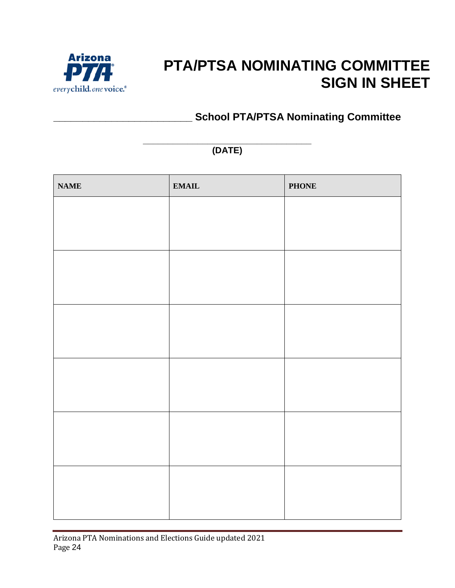

# **PTA/PTSA NOMINATING COMMITTEE SIGN IN SHEET**

## **\_\_\_\_\_\_\_\_\_\_\_\_\_\_\_\_\_\_\_\_\_\_\_\_ School PTA/PTSA Nominating Committee**

#### **\_\_\_\_\_\_\_\_\_\_\_\_\_\_\_\_\_\_\_\_\_\_\_\_\_\_\_\_\_\_\_\_\_\_ (DATE)**

| $\mathbf{NAME}$ | $\mathbf{EMAIL}$ | <b>PHONE</b> |
|-----------------|------------------|--------------|
|                 |                  |              |
|                 |                  |              |
|                 |                  |              |
|                 |                  |              |
|                 |                  |              |
|                 |                  |              |
|                 |                  |              |
|                 |                  |              |
|                 |                  |              |
|                 |                  |              |
|                 |                  |              |
|                 |                  |              |
|                 |                  |              |
|                 |                  |              |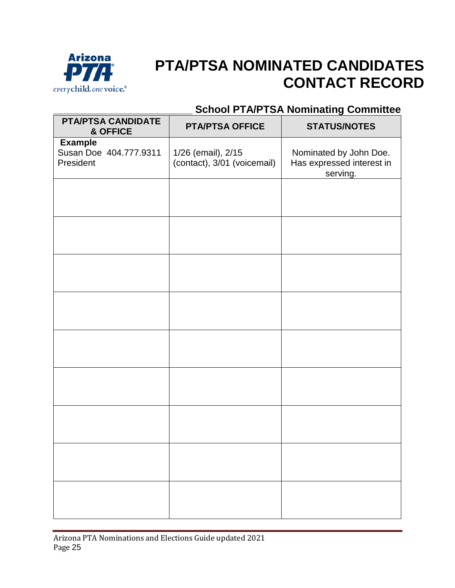

# **PTA/PTSA NOMINATED CANDIDATES CONTACT RECORD**

#### **\_\_\_\_\_\_\_\_\_\_\_\_\_\_\_\_\_\_\_\_\_\_\_\_ School PTA/PTSA Nominating Committee**

| <b>PTA/PTSA CANDIDATE</b><br>& OFFICE                 | <b>PTA/PTSA OFFICE</b>                            | <b>STATUS/NOTES</b>                                             |
|-------------------------------------------------------|---------------------------------------------------|-----------------------------------------------------------------|
| <b>Example</b><br>Susan Doe 404.777.9311<br>President | 1/26 (email), 2/15<br>(contact), 3/01 (voicemail) | Nominated by John Doe.<br>Has expressed interest in<br>serving. |
|                                                       |                                                   |                                                                 |
|                                                       |                                                   |                                                                 |
|                                                       |                                                   |                                                                 |
|                                                       |                                                   |                                                                 |
|                                                       |                                                   |                                                                 |
|                                                       |                                                   |                                                                 |
|                                                       |                                                   |                                                                 |
|                                                       |                                                   |                                                                 |
|                                                       |                                                   |                                                                 |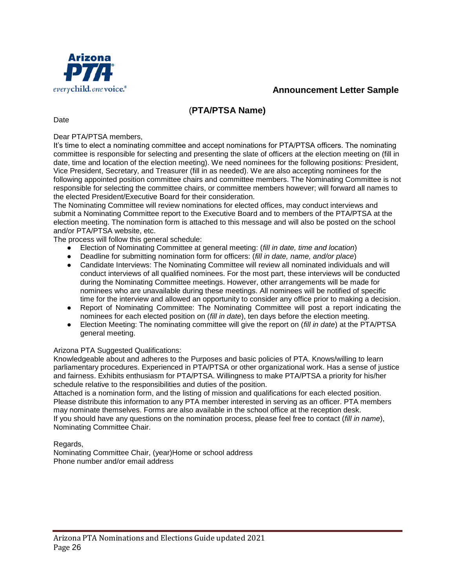

#### *everychild.one* **voice.<sup>®</sup>** *Contract Contract Contract Contract Contract Contract Contract Contract Contract Contract Contract Contract Contract Contract Contract Contract Contract Contract Contract Contract Contract Cont*

#### (**PTA/PTSA Name)**

#### Date

Dear PTA/PTSA members,

It's time to elect a nominating committee and accept nominations for PTA/PTSA officers. The nominating committee is responsible for selecting and presenting the slate of officers at the election meeting on (fill in date, time and location of the election meeting). We need nominees for the following positions: President, Vice President, Secretary, and Treasurer (fill in as needed). We are also accepting nominees for the following appointed position committee chairs and committee members. The Nominating Committee is not responsible for selecting the committee chairs, or committee members however; will forward all names to the elected President/Executive Board for their consideration.

The Nominating Committee will review nominations for elected offices, may conduct interviews and submit a Nominating Committee report to the Executive Board and to members of the PTA/PTSA at the election meeting. The nomination form is attached to this message and will also be posted on the school and/or PTA/PTSA website, etc.

The process will follow this general schedule:

- Election of Nominating Committee at general meeting: (*fill in date, time and location*)
- Deadline for submitting nomination form for officers: (*fill in date, name, and/or place*)
- Candidate Interviews: The Nominating Committee will review all nominated individuals and will conduct interviews of all qualified nominees. For the most part, these interviews will be conducted during the Nominating Committee meetings. However, other arrangements will be made for nominees who are unavailable during these meetings. All nominees will be notified of specific time for the interview and allowed an opportunity to consider any office prior to making a decision.
- Report of Nominating Committee: The Nominating Committee will post a report indicating the nominees for each elected position on (*fill in date*), ten days before the election meeting.
- Election Meeting: The nominating committee will give the report on (*fill in date*) at the PTA/PTSA general meeting.

#### Arizona PTA Suggested Qualifications:

Knowledgeable about and adheres to the Purposes and basic policies of PTA. Knows/willing to learn parliamentary procedures. Experienced in PTA/PTSA or other organizational work. Has a sense of justice and fairness. Exhibits enthusiasm for PTA/PTSA. Willingness to make PTA/PTSA a priority for his/her schedule relative to the responsibilities and duties of the position.

Attached is a nomination form, and the listing of mission and qualifications for each elected position. Please distribute this information to any PTA member interested in serving as an officer. PTA members may nominate themselves. Forms are also available in the school office at the reception desk. If you should have any questions on the nomination process, please feel free to contact (*fill in name*), Nominating Committee Chair.

Regards,

Nominating Committee Chair, (year)Home or school address Phone number and/or email address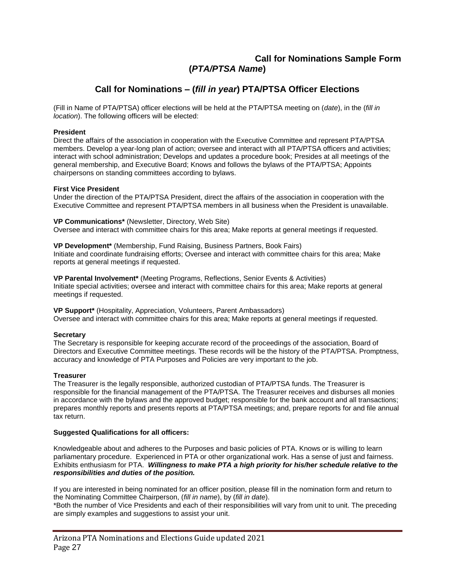#### **Call for Nominations Sample Form (***PTA/PTSA Name***)**

#### **Call for Nominations – (***fill in year***) PTA/PTSA Officer Elections**

(Fill in Name of PTA/PTSA) officer elections will be held at the PTA/PTSA meeting on (*date*), in the (*fill in location*). The following officers will be elected:

#### **President**

Direct the affairs of the association in cooperation with the Executive Committee and represent PTA/PTSA members. Develop a year-long plan of action; oversee and interact with all PTA/PTSA officers and activities; interact with school administration; Develops and updates a procedure book; Presides at all meetings of the general membership, and Executive Board; Knows and follows the bylaws of the PTA/PTSA; Appoints chairpersons on standing committees according to bylaws.

#### **First Vice President**

Under the direction of the PTA/PTSA President, direct the affairs of the association in cooperation with the Executive Committee and represent PTA/PTSA members in all business when the President is unavailable.

**VP Communications\*** (Newsletter, Directory, Web Site) Oversee and interact with committee chairs for this area; Make reports at general meetings if requested.

**VP Development\*** (Membership, Fund Raising, Business Partners, Book Fairs) Initiate and coordinate fundraising efforts; Oversee and interact with committee chairs for this area; Make reports at general meetings if requested.

**VP Parental Involvement\*** (Meeting Programs, Reflections, Senior Events & Activities) Initiate special activities; oversee and interact with committee chairs for this area; Make reports at general meetings if requested.

**VP Support\*** (Hospitality, Appreciation, Volunteers, Parent Ambassadors) Oversee and interact with committee chairs for this area; Make reports at general meetings if requested.

#### **Secretary**

The Secretary is responsible for keeping accurate record of the proceedings of the association, Board of Directors and Executive Committee meetings. These records will be the history of the PTA/PTSA. Promptness, accuracy and knowledge of PTA Purposes and Policies are very important to the job.

#### **Treasurer**

The Treasurer is the legally responsible, authorized custodian of PTA/PTSA funds. The Treasurer is responsible for the financial management of the PTA/PTSA. The Treasurer receives and disburses all monies in accordance with the bylaws and the approved budget; responsible for the bank account and all transactions; prepares monthly reports and presents reports at PTA/PTSA meetings; and, prepare reports for and file annual tax return.

#### **Suggested Qualifications for all officers:**

Knowledgeable about and adheres to the Purposes and basic policies of PTA. Knows or is willing to learn parliamentary procedure. Experienced in PTA or other organizational work. Has a sense of just and fairness. Exhibits enthusiasm for PTA. *Willingness to make PTA a high priority for his/her schedule relative to the responsibilities and duties of the position.*

If you are interested in being nominated for an officer position, please fill in the nomination form and return to the Nominating Committee Chairperson, (*fill in name*), by (*fill in date*). \*Both the number of Vice Presidents and each of their responsibilities will vary from unit to unit. The preceding

are simply examples and suggestions to assist your unit.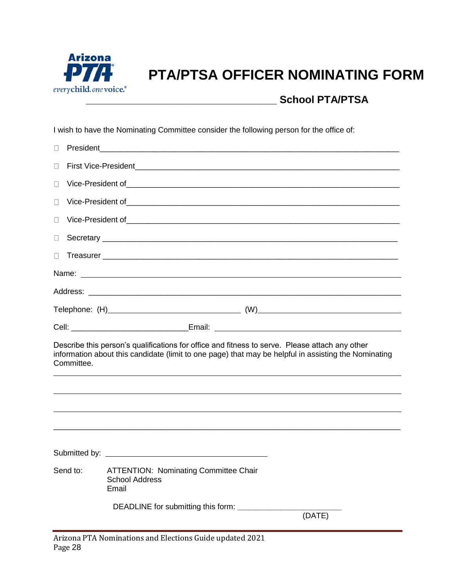

## **PTA/PTSA OFFICER NOMINATING FORM**

**\_\_\_\_\_\_\_\_\_\_\_\_\_\_\_\_\_\_\_\_\_\_\_\_\_\_\_\_\_\_\_\_\_ School PTA/PTSA**

(DATE)

I wish to have the Nominating Committee consider the following person for the office of:

| $\Box$ |            | President and the contract of the contract of the contract of the contract of the contract of the contract of the contract of the contract of the contract of the contract of the contract of the contract of the contract of      |
|--------|------------|------------------------------------------------------------------------------------------------------------------------------------------------------------------------------------------------------------------------------------|
| □      |            |                                                                                                                                                                                                                                    |
| $\Box$ |            | Vice-President of example and the contract of the contract of the contract of the contract of the contract of                                                                                                                      |
| $\Box$ |            |                                                                                                                                                                                                                                    |
| П      |            | Vice-President of <b>Windows</b> 2008 and 2009 and 2009 and 2009 and 2009 and 2009 and 2009 and 2009 and 2009 and 2009 and 2009 and 2009 and 2009 and 2009 and 2009 and 2009 and 2009 and 2009 and 2009 and 2009 and 2009 and 2009 |
| П      |            |                                                                                                                                                                                                                                    |
| П      |            |                                                                                                                                                                                                                                    |
|        |            |                                                                                                                                                                                                                                    |
|        |            |                                                                                                                                                                                                                                    |
|        |            |                                                                                                                                                                                                                                    |
|        |            | Cell: _________________________________Email: ___________________________________                                                                                                                                                  |
|        | Committee. | Describe this person's qualifications for office and fitness to serve. Please attach any other<br>information about this candidate (limit to one page) that may be helpful in assisting the Nominating                             |
|        |            |                                                                                                                                                                                                                                    |
|        |            |                                                                                                                                                                                                                                    |
|        |            |                                                                                                                                                                                                                                    |
|        |            |                                                                                                                                                                                                                                    |
|        |            |                                                                                                                                                                                                                                    |
|        | Send to:   | <b>ATTENTION: Nominating Committee Chair</b><br><b>School Address</b><br>Email                                                                                                                                                     |
|        |            | DEADLINE for submitting this form:                                                                                                                                                                                                 |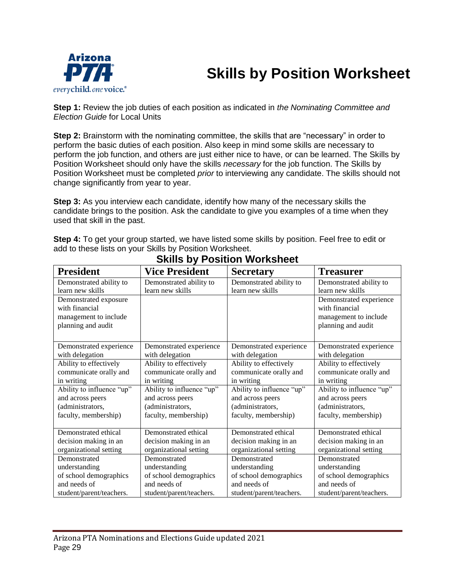# **Skills by Position Worksheet**



**Step 1:** Review the job duties of each position as indicated in *the Nominating Committee and Election Guide* for Local Units

**Step 2:** Brainstorm with the nominating committee, the skills that are "necessary" in order to perform the basic duties of each position. Also keep in mind some skills are necessary to perform the job function, and others are just either nice to have, or can be learned. The Skills by Position Worksheet should only have the skills *necessary* for the job function. The Skills by Position Worksheet must be completed *prior* to interviewing any candidate. The skills should not change significantly from year to year.

**Step 3:** As you interview each candidate, identify how many of the necessary skills the candidate brings to the position. Ask the candidate to give you examples of a time when they used that skill in the past.

**Step 4:** To get your group started, we have listed some skills by position. Feel free to edit or add to these lists on your Skills by Position Worksheet.

| <b>President</b>          | <b>Vice President</b>     | <b>Secretary</b>          | <b>Treasurer</b>          |
|---------------------------|---------------------------|---------------------------|---------------------------|
| Demonstrated ability to   | Demonstrated ability to   | Demonstrated ability to   | Demonstrated ability to   |
| learn new skills          | learn new skills          | learn new skills          | learn new skills          |
| Demonstrated exposure     |                           |                           | Demonstrated experience   |
| with financial            |                           |                           | with financial            |
| management to include     |                           |                           | management to include     |
| planning and audit        |                           |                           | planning and audit        |
|                           |                           |                           |                           |
| Demonstrated experience   | Demonstrated experience   | Demonstrated experience   | Demonstrated experience   |
| with delegation           | with delegation           | with delegation           | with delegation           |
| Ability to effectively    | Ability to effectively    | Ability to effectively    | Ability to effectively    |
| communicate orally and    | communicate orally and    | communicate orally and    | communicate orally and    |
| in writing                | in writing                | in writing                | in writing                |
| Ability to influence "up" | Ability to influence "up" | Ability to influence "up" | Ability to influence "up" |
| and across peers          | and across peers          | and across peers          | and across peers          |
| (administrators,          | (administrators,          | (administrators,          | (administrators,          |
| faculty, membership)      | faculty, membership)      | faculty, membership)      | faculty, membership)      |
|                           |                           |                           |                           |
| Demonstrated ethical      | Demonstrated ethical      | Demonstrated ethical      | Demonstrated ethical      |
| decision making in an     | decision making in an     | decision making in an     | decision making in an     |
| organizational setting    | organizational setting    | organizational setting    | organizational setting    |
| Demonstrated              | Demonstrated              | Demonstrated              | Demonstrated              |
| understanding             | understanding             | understanding             | understanding             |
| of school demographics    | of school demographics    | of school demographics    | of school demographics    |
| and needs of              | and needs of              | and needs of              | and needs of              |
| student/parent/teachers.  | student/parent/teachers.  | student/parent/teachers.  | student/parent/teachers.  |

## **Skills by Position Worksheet**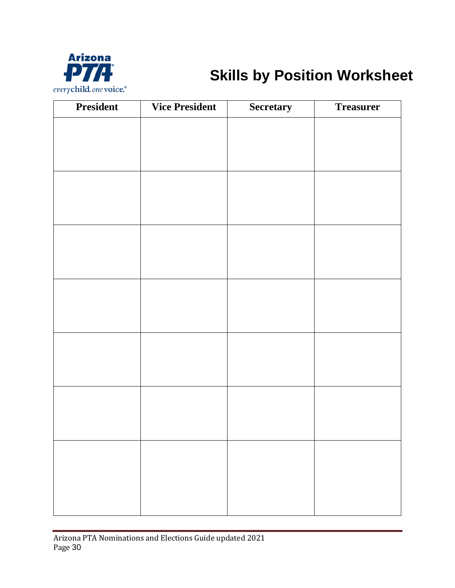

# **Skills by Position Worksheet**

| <b>President</b> | <b>Vice President</b> | <b>Secretary</b> | <b>Treasurer</b> |
|------------------|-----------------------|------------------|------------------|
|                  |                       |                  |                  |
|                  |                       |                  |                  |
|                  |                       |                  |                  |
|                  |                       |                  |                  |
|                  |                       |                  |                  |
|                  |                       |                  |                  |
|                  |                       |                  |                  |
|                  |                       |                  |                  |
|                  |                       |                  |                  |
|                  |                       |                  |                  |
|                  |                       |                  |                  |
|                  |                       |                  |                  |
|                  |                       |                  |                  |
|                  |                       |                  |                  |
|                  |                       |                  |                  |
|                  |                       |                  |                  |
|                  |                       |                  |                  |
|                  |                       |                  |                  |
|                  |                       |                  |                  |
|                  |                       |                  |                  |
|                  |                       |                  |                  |
|                  |                       |                  |                  |
|                  |                       |                  |                  |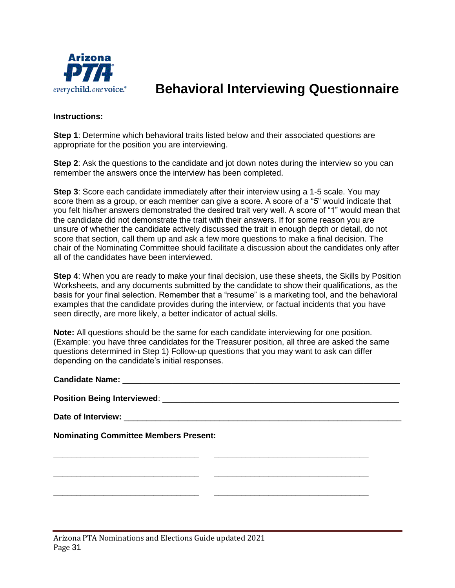

#### **Instructions:**

**Step 1**: Determine which behavioral traits listed below and their associated questions are appropriate for the position you are interviewing.

**Step 2:** Ask the questions to the candidate and jot down notes during the interview so you can remember the answers once the interview has been completed.

**Step 3**: Score each candidate immediately after their interview using a 1-5 scale. You may score them as a group, or each member can give a score. A score of a "5" would indicate that you felt his/her answers demonstrated the desired trait very well. A score of "1" would mean that the candidate did not demonstrate the trait with their answers. If for some reason you are unsure of whether the candidate actively discussed the trait in enough depth or detail, do not score that section, call them up and ask a few more questions to make a final decision. The chair of the Nominating Committee should facilitate a discussion about the candidates only after all of the candidates have been interviewed.

**Step 4**: When you are ready to make your final decision, use these sheets, the Skills by Position Worksheets, and any documents submitted by the candidate to show their qualifications, as the basis for your final selection. Remember that a "resume" is a marketing tool, and the behavioral examples that the candidate provides during the interview, or factual incidents that you have seen directly, are more likely, a better indicator of actual skills.

**Note:** All questions should be the same for each candidate interviewing for one position. (Example: you have three candidates for the Treasurer position, all three are asked the same questions determined in Step 1) Follow-up questions that you may want to ask can differ depending on the candidate's initial responses.

**Candidate Name:** \_\_\_\_\_\_\_\_\_\_\_\_\_\_\_\_\_\_\_\_\_\_\_\_\_\_\_\_\_\_\_\_\_\_\_\_\_\_\_\_\_\_\_\_\_\_\_\_\_\_\_\_\_\_\_\_\_\_\_\_\_ **Position Being Interviewed**: \_\_\_\_\_\_\_\_\_\_\_\_\_\_\_\_\_\_\_\_\_\_\_\_\_\_\_\_\_\_\_\_\_\_\_\_\_\_\_\_\_\_\_\_\_\_\_\_\_\_\_\_ Date of Interview:

**\_\_\_\_\_\_\_\_\_\_\_\_\_\_\_\_\_\_\_\_\_\_\_\_\_\_\_\_\_\_\_\_ \_\_\_\_\_\_\_\_\_\_\_\_\_\_\_\_\_\_\_\_\_\_\_\_\_\_\_\_\_\_\_\_\_\_**

**\_\_\_\_\_\_\_\_\_\_\_\_\_\_\_\_\_\_\_\_\_\_\_\_\_\_\_\_\_\_\_\_ \_\_\_\_\_\_\_\_\_\_\_\_\_\_\_\_\_\_\_\_\_\_\_\_\_\_\_\_\_\_\_\_\_\_**

**\_\_\_\_\_\_\_\_\_\_\_\_\_\_\_\_\_\_\_\_\_\_\_\_\_\_\_\_\_\_\_\_ \_\_\_\_\_\_\_\_\_\_\_\_\_\_\_\_\_\_\_\_\_\_\_\_\_\_\_\_\_\_\_\_\_\_**

**Nominating Committee Members Present:**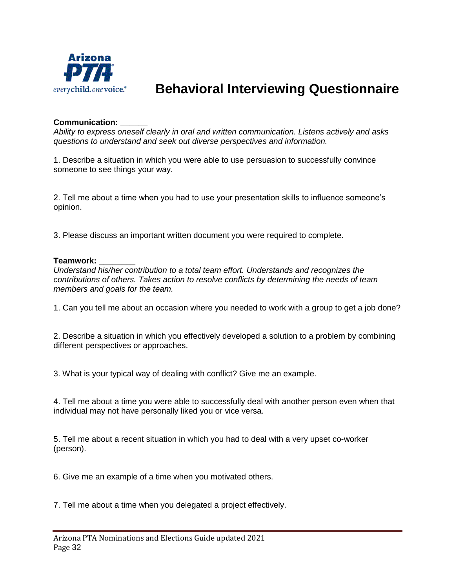

#### **Communication: \_\_\_\_\_\_**

*Ability to express oneself clearly in oral and written communication. Listens actively and asks questions to understand and seek out diverse perspectives and information.*

1. Describe a situation in which you were able to use persuasion to successfully convince someone to see things your way.

2. Tell me about a time when you had to use your presentation skills to influence someone's opinion.

3. Please discuss an important written document you were required to complete.

#### **Teamwork:** \_\_\_\_\_\_\_\_

*Understand his/her contribution to a total team effort. Understands and recognizes the contributions of others. Takes action to resolve conflicts by determining the needs of team members and goals for the team.*

1. Can you tell me about an occasion where you needed to work with a group to get a job done?

2. Describe a situation in which you effectively developed a solution to a problem by combining different perspectives or approaches.

3. What is your typical way of dealing with conflict? Give me an example.

4. Tell me about a time you were able to successfully deal with another person even when that individual may not have personally liked you or vice versa.

5. Tell me about a recent situation in which you had to deal with a very upset co-worker (person).

6. Give me an example of a time when you motivated others.

7. Tell me about a time when you delegated a project effectively.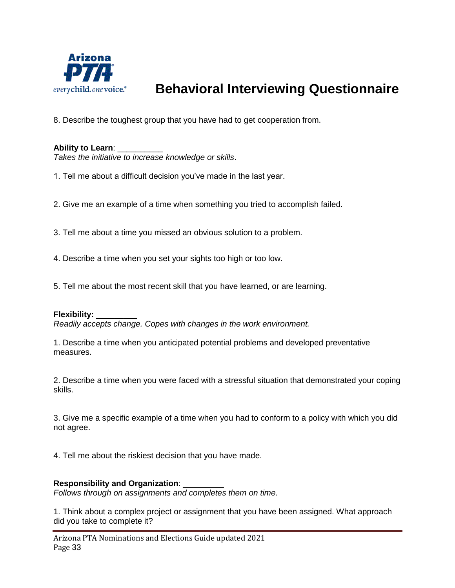

8. Describe the toughest group that you have had to get cooperation from.

#### **Ability to Learn**: \_\_\_\_\_\_\_\_\_\_

*Takes the initiative to increase knowledge or skills*.

- 1. Tell me about a difficult decision you've made in the last year.
- 2. Give me an example of a time when something you tried to accomplish failed.
- 3. Tell me about a time you missed an obvious solution to a problem.
- 4. Describe a time when you set your sights too high or too low.
- 5. Tell me about the most recent skill that you have learned, or are learning.

#### **Flexibility:** \_\_\_\_\_\_\_\_\_

*Readily accepts change. Copes with changes in the work environment.*

1. Describe a time when you anticipated potential problems and developed preventative measures.

2. Describe a time when you were faced with a stressful situation that demonstrated your coping skills.

3. Give me a specific example of a time when you had to conform to a policy with which you did not agree.

4. Tell me about the riskiest decision that you have made.

#### **Responsibility and Organization**: \_\_\_\_\_\_\_\_\_

*Follows through on assignments and completes them on time.*

1. Think about a complex project or assignment that you have been assigned. What approach did you take to complete it?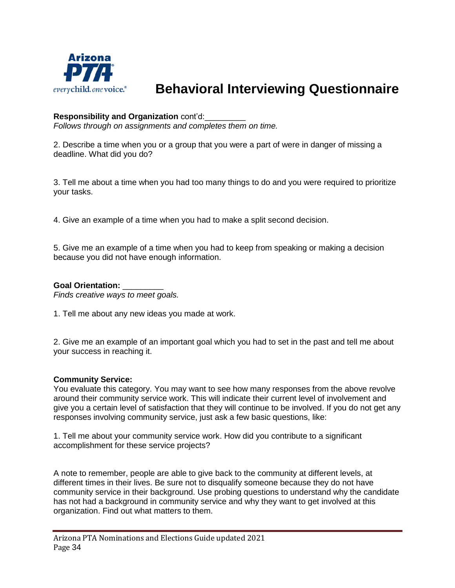

#### **Responsibility and Organization** cont'd:\_\_\_\_\_\_\_\_\_

*Follows through on assignments and completes them on time.*

2. Describe a time when you or a group that you were a part of were in danger of missing a deadline. What did you do?

3. Tell me about a time when you had too many things to do and you were required to prioritize your tasks.

4. Give an example of a time when you had to make a split second decision.

5. Give me an example of a time when you had to keep from speaking or making a decision because you did not have enough information.

**Goal Orientation:** \_\_\_\_\_\_\_\_\_

*Finds creative ways to meet goals.*

1. Tell me about any new ideas you made at work.

2. Give me an example of an important goal which you had to set in the past and tell me about your success in reaching it.

#### **Community Service:**

You evaluate this category. You may want to see how many responses from the above revolve around their community service work. This will indicate their current level of involvement and give you a certain level of satisfaction that they will continue to be involved. If you do not get any responses involving community service, just ask a few basic questions, like:

1. Tell me about your community service work. How did you contribute to a significant accomplishment for these service projects?

A note to remember, people are able to give back to the community at different levels, at different times in their lives. Be sure not to disqualify someone because they do not have community service in their background. Use probing questions to understand why the candidate has not had a background in community service and why they want to get involved at this organization. Find out what matters to them.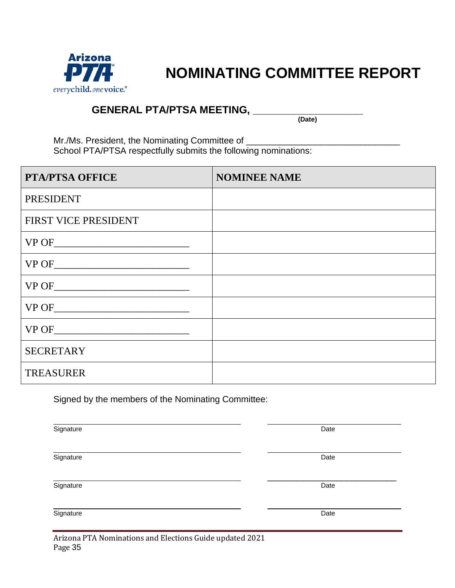

# **NOMINATING COMMITTEE REPORT**

#### **GENERAL PTA/PTSA MEETING, \_\_\_\_\_\_\_\_\_\_\_\_\_\_\_\_\_\_\_**

**(Date)**

Mr./Ms. President, the Nominating Committee of \_\_\_\_\_\_\_\_\_\_\_\_\_\_\_\_\_\_\_\_\_\_\_\_\_\_\_\_\_\_\_\_\_ School PTA/PTSA respectfully submits the following nominations:

| <b>PTA/PTSA OFFICE</b>                                                                                                                                                                                                                                              | <b>NOMINEE NAME</b> |
|---------------------------------------------------------------------------------------------------------------------------------------------------------------------------------------------------------------------------------------------------------------------|---------------------|
| <b>PRESIDENT</b>                                                                                                                                                                                                                                                    |                     |
| FIRST VICE PRESIDENT                                                                                                                                                                                                                                                |                     |
| $\begin{tabular}{c} VPC 1 & 0.000000 & 0.000000 & 0.00000 & 0.00000 & 0.00000 & 0.00000 & 0.00000 & 0.00000 & 0.00000 & 0.00000 & 0.0000 & 0.0000 & 0.0000 & 0.0000 & 0.0000 & 0.0000 & 0.0000 & 0.0000 & 0.0000 & 0.0000 & 0.0000 & 0.0000 & 0.0000 & 0.0000 & 0.$ |                     |
|                                                                                                                                                                                                                                                                     |                     |
|                                                                                                                                                                                                                                                                     |                     |
|                                                                                                                                                                                                                                                                     |                     |
|                                                                                                                                                                                                                                                                     |                     |
| <b>SECRETARY</b>                                                                                                                                                                                                                                                    |                     |
| <b>TREASURER</b>                                                                                                                                                                                                                                                    |                     |

Signed by the members of the Nominating Committee:

| Signature | Date |
|-----------|------|
| Signature | Date |
| Signature | Date |
| Signature | Date |